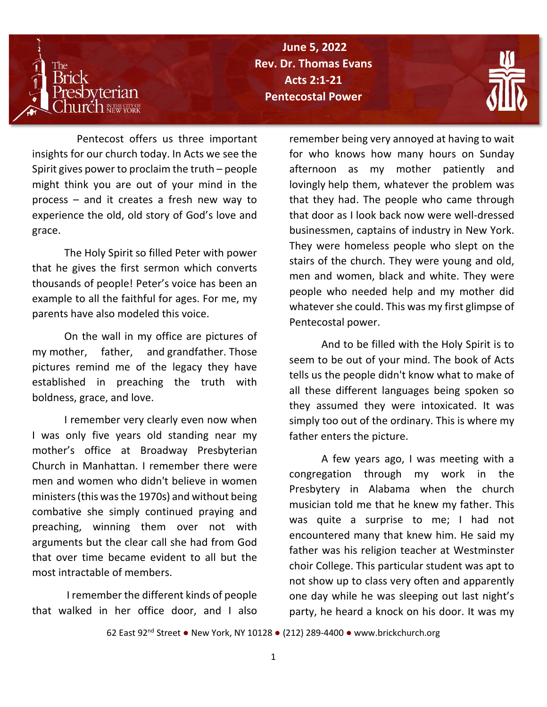

**Porn Again / Rev. Dr. Thomas Evans The Reverend Dr. Thomas Evans June 5, 2022 Pentecostal Power**



 Pentecost offers us three important insights for our church today. In Acts we see the Spirit gives power to proclaim the truth – people might think you are out of your mind in the process – and it creates a fresh new way to experience the old, old story of God's love and grace.

The Holy Spirit so filled Peter with power that he gives the first sermon which converts thousands of people! Peter's voice has been an example to all the faithful for ages. For me, my parents have also modeled this voice.

On the wall in my office are pictures of my mother, father, and grandfather. Those pictures remind me of the legacy they have established in preaching the truth with boldness, grace, and love.

I remember very clearly even now when I was only five years old standing near my mother's office at Broadway Presbyterian Church in Manhattan. I remember there were men and women who didn't believe in women ministers (this was the 1970s) and without being combative she simply continued praying and preaching, winning them over not with arguments but the clear call she had from God that over time became evident to all but the most intractable of members.

I remember the different kinds of people that walked in her office door, and I also

remember being very annoyed at having to wait for who knows how many hours on Sunday afternoon as my mother patiently and lovingly help them, whatever the problem was that they had. The people who came through that door as I look back now were well-dressed businessmen, captains of industry in New York. They were homeless people who slept on the stairs of the church. They were young and old, men and women, black and white. They were people who needed help and my mother did whatever she could. This was my first glimpse of Pentecostal power.

And to be filled with the Holy Spirit is to seem to be out of your mind. The book of Acts tells us the people didn't know what to make of all these different languages being spoken so they assumed they were intoxicated. It was simply too out of the ordinary. This is where my father enters the picture.

A few years ago, I was meeting with a congregation through my work in the Presbytery in Alabama when the church musician told me that he knew my father. This was quite a surprise to me; I had not encountered many that knew him. He said my father was his religion teacher at Westminster choir College. This particular student was apt to not show up to class very often and apparently one day while he was sleeping out last night's party, he heard a knock on his door. It was my

62 East 92nd Street ● New York, NY 10128 ● (212) 289-4400 ● [www.brickchurch.org](http://www.brickchurch.org/)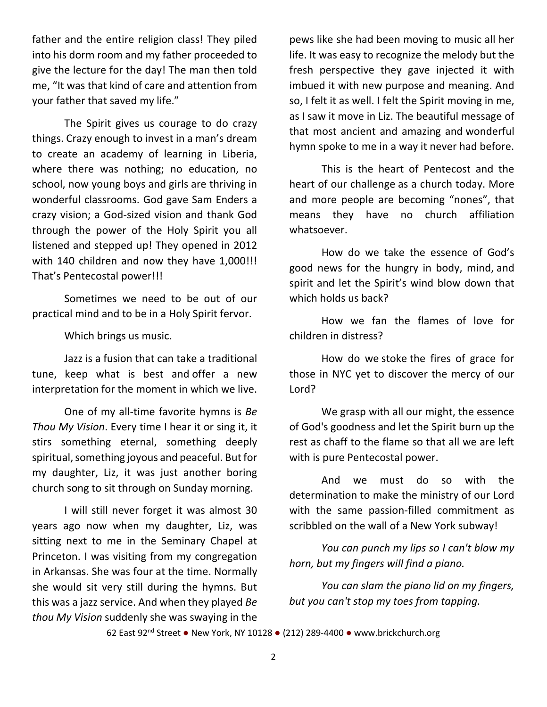father and the entire religion class! They piled into his dorm room and my father proceeded to give the lecture for the day! The man then told me, "It was that kind of care and attention from your father that saved my life."

The Spirit gives us courage to do crazy things. Crazy enough to invest in a man's dream to create an academy of learning in Liberia, where there was nothing; no education, no school, now young boys and girls are thriving in wonderful classrooms. God gave Sam Enders a crazy vision; a God-sized vision and thank God through the power of the Holy Spirit you all listened and stepped up! They opened in 2012 with 140 children and now they have 1,000!!! That's Pentecostal power!!!

Sometimes we need to be out of our practical mind and to be in a Holy Spirit fervor.

Which brings us music.

Jazz is a fusion that can take a traditional tune, keep what is best and offer a new interpretation for the moment in which we live.

One of my all-time favorite hymns is *Be Thou My Vision*. Every time I hear it or sing it, it stirs something eternal, something deeply spiritual, something joyous and peaceful. But for my daughter, Liz, it was just another boring church song to sit through on Sunday morning.

I will still never forget it was almost 30 years ago now when my daughter, Liz, was sitting next to me in the Seminary Chapel at Princeton. I was visiting from my congregation in Arkansas. She was four at the time. Normally she would sit very still during the hymns. But this was a jazz service. And when they played *Be thou My Vision* suddenly she was swaying in the

pews like she had been moving to music all her life. It was easy to recognize the melody but the fresh perspective they gave injected it with imbued it with new purpose and meaning. And so, I felt it as well. I felt the Spirit moving in me, as I saw it move in Liz. The beautiful message of that most ancient and amazing and wonderful hymn spoke to me in a way it never had before.

This is the heart of Pentecost and the heart of our challenge as a church today. More and more people are becoming "nones", that means they have no church affiliation whatsoever.

How do we take the essence of God's good news for the hungry in body, mind, and spirit and let the Spirit's wind blow down that which holds us back?

How we fan the flames of love for children in distress?

How do we stoke the fires of grace for those in NYC yet to discover the mercy of our Lord?

We grasp with all our might, the essence of God's goodness and let the Spirit burn up the rest as chaff to the flame so that all we are left with is pure Pentecostal power.

And we must do so with the determination to make the ministry of our Lord with the same passion-filled commitment as scribbled on the wall of a New York subway!

*You can punch my lips so I can't blow my horn, but my fingers will find a piano.*

*You can slam the piano lid on my fingers, but you can't stop my toes from tapping.*

62 East 92nd Street ● New York, NY 10128 ● (212) 289-4400 ● [www.brickchurch.org](http://www.brickchurch.org/)